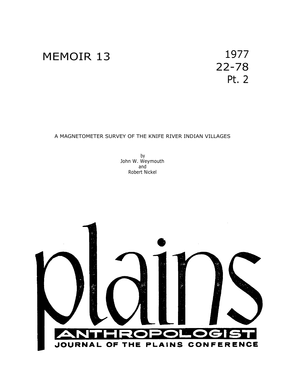

22-78 Pt. 2

# A MAGNETOMETER SURVEY OF THE KNIFE RIVER INDIAN VILLAGES

by John W. Weymouth and Robert Nickel

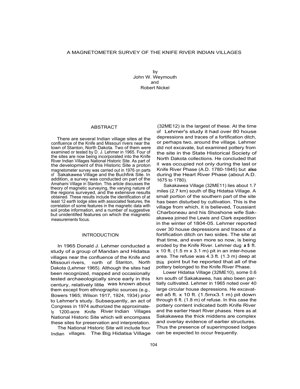by John W. Weymouth and Robert Nickel

### ABSTRACT

There are several Indian village sites at the confluence of the Knife and Missouri rivers near the town of Stanton, North Dakota. Two of them were examined or tested by D. J. Lehmer in 1965. Four of the sites are now being incorporated into the Knife River Indian Villages National Historic Site. As part of the development of this Historic Site a proton magnetometer survey was carried out in 1976 on parts of Sakakawea Village and the Buchfink Site. In addition, a survey was conducted on part of the Amahami Village in Stanton. This article discusses the theory of magnetic surveying, the varying nature of the regions surveyed, and the extensive results obtained. These results include the identification of at least 12 earth lodge sites with associated features, the correlation of some features in the magnetic data with soil probe information, and a number of suggestive but unidentifed features on which the magnetic measurements focus.

# INTRODUCTION

In 1965 Donald J. Lehmer conducted a study of a group of Mandan and Hidatsa villages near the confluence of the Knife and Missouri rivers, north of Stanton, North Dakota (Lehmer 1965). Although the sites had been recognized, mapped and occasionally tested archaeologically since early in this century, relatively little was known about them except from ethnographic sources (e.g., Bowers 1965; Wilson 1917, 1924, 1934) prior to Lehmer's study. Subsequently, an act of Congress in 1974 authorized the approximately 1200-acre Knife River Indian Villages National Historic Site which will encompass these sites for preservation and interpretation.

The National Historic Site will include four Indian villages. The Big Hidatsa Village

(32ME12) is the largest of these. At the time of Lehmer's study it had over 80 house depressions and traces of a fortification ditch, or perhaps two, around the village. Lehmer did not excavate, but examined pottery from the site in the State Historical Society of North Dakota collections. He concluded that it was occupied not only during the last or Knife River Phase (A.D. 1780-1845) but **also** during the Heart River Phase (about A.D. 1675 to 1780).

Sakakawea Village (32ME11) lies about 1.7 miles (2.7 km) south of Big Hidatsa Village. A small portion of the southern part of the site has been disturbed by cultivation. This is the village from which, it is believed, Toussiant Charboneau and his Shoshone wife Sakakawea joined the Lewis and Clark expedition in the winter of 1804-05. Lehmer reported over 30 house depressions and traces of a fortification ditch on two sides. The site at that time, and even more so now, is being eroded by the Knife River. Lehmer dug **a 5** ft.  $x$  10 ft. (1.5 m  $x$  3.1 m) pit in an inter-house area. The refuse was 4.3 ft. (1.3 m) deep at this point but he reported that all of the pottery belonged to the Knife River Phase.

Lower Hidatsa Village (32ME10), some 0.6 km south of Sakakawea, has also been partially cultivated. Lehmer in 1965 noted over 40 large circular house depressions. He excavated a5 ft. x 10 ft. (1.5mx3.1 m) pit down through 6 ft. (1.8 m) of refuse. In this case the pottery content indicated both Knife River and the earlier Heart River phases. Here as at Sakakawea the thick middens are complex and overlay evidence of earlier structures. Thus the presence of superimposed lodges can be expected to occur frequently.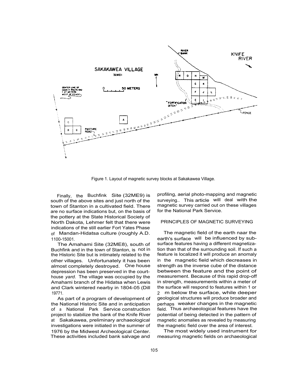

Figure 1. Layout of magnetic survey blocks at Sakakawea Village.

Finally, the Buchfink Site (32ME9) is south of the above sites and just north of the town of Stanton in a cultivated field. There are no surface indications but, on the basis of the pottery at the State Historical Society of North Dakota, Lehmer felt that there were indications of the still earlier Fort Yates Phase of Mandan-Hidatsa culture (roughly A.D. 1100-15001.

The Amahami Site (32ME8), south of Buchfink and in the town of Stanton, is not in the Historic Site but is intimately related to the other villages. Unfortunately it has been almost completely destroyed. One house depression has been preserved in the courthouse *yard.* The village was occupied by the Amahami branch of the Hidatsa when Lewis and Clark wintered nearby in 1804-05 (Dill 19771.

As part of a program of development of the National Historic Site and in anticipation of <sup>a</sup> National Park Service construction project to stabilize the bank of the Knife River at Sakakawea, preliminary archaeological investigations were initiated in the summer of 1976 by the Midwest Archeological Center. These activities included bank salvage and

profiling, aerial photo-mapping and magnetic surveying.. This article will deal with the magnetic survey carried out on these villages for the National Park Service.

### PRINCIPLES OF MAGNETIC SURVEYING

The magnetic field of the earth naar the earth's surface will be influenced by subsurface features having a different magnetization than that of the surrounding soil. If such a feature is localized it will produce an anomaly in the magnetic field which decreases in strength as the inverse cube of the distance between the feature and the point of measurement. Because of this rapid drop-off in strength, measurements within a meter of the surface will respond to features within 1 or 2 m below the surface, while deeper geological structures will produce broader and perhaps weaker changes in the magnetic field. Thus archaeological features have the potential of being detected in the pattern of magnetic anomalies as revealed by measuring the magnetic field over the area of interest.

The most widely used instrument for measuring magnetic fields on archaeological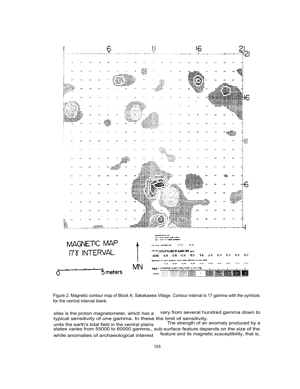

Figure 2. Magnetic contour map of Block A, Sakakawea Village. Contour interval is 17 gamma with the symbols for the central interval blank.

sites is the proton magnetometer, which has a vary from several hundred gamma down to typical sensitivity of one gamma. In these the limit of sensitivity.<br>units the earth's total field in the central plains The strength of an anomaly produced by a units the earth's total field in the central plains The strength of an anomaly produced by a states varies from 55000 to 60000 gamma,, sub-surface feature depends on the size of the while anomalies of archaeological interest feature and its magnetic susceptibility, that is,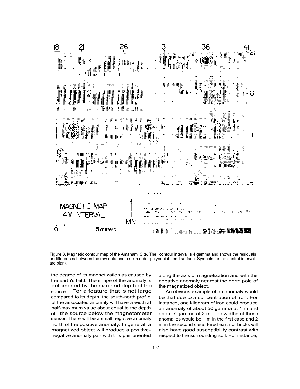

Figure 3. Magnetic contour map of the Amahami Site. The contour interval is 4 gamma and shows the residuals or differences between the raw data and a sixth order polynonial trend surface. Symbols for the central interval are blank.

the degree of its magnetization as caused by the earth's field. The shape of the anomaly is determined by the size and depth of the source. For a feature that is not large compared to its depth, the south-north profile of the associated anomaly will have a width at half-maximum value about equal to the depth of the source below the magnetometer sensor. There will be a small negative anomaly north of the positive anomaly. In general, a magnetized object will produce a positivenegative anomaly pair with this pair oriented

along the axis of magnetization and with the negative anomaly nearest the north pole of the magnetized object.

An obvious example of an anomaly would be that due to a concentration of iron. For instance, one kilogram of iron could produce an anomaly of about 50 gamma at 1 m and about 7 gamma at 2 m. The widths of these anomalies would be 1 m in the first case and 2 m in the second case. Fired earth or bricks will also have good susceptibility contrast with respect to the surrounding soil. For instance,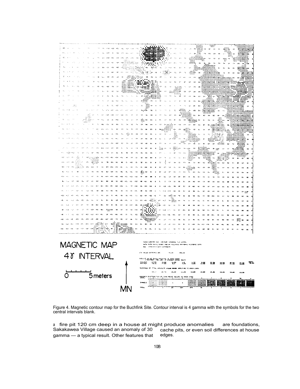

Figure 4. Magnetic contour map for the Buchfink Site. Contour interval is 4 gamma with the symbols for the two central intervals blank.

a fire pit 120 cm deep in a house at might produce anomalies are foundations, Sakakawea Village caused an anomaly of 30 cache pits, or even soil differences at house Sakakawea Village caused an anomaly of 30 cache<br>gamma — a typical result. Other features that edges.  $gamma - a$  typical result. Other features that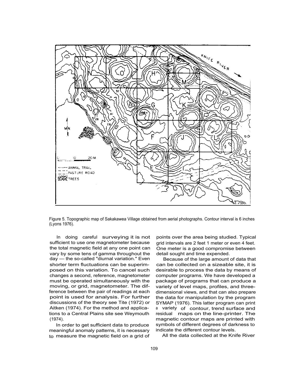

Figure 5. Topographic map of Sakakawea Village obtained from aerial photographs. Contour interval is 6 inches (Lyons 1976).

In doing careful surveying it is not sufficient to use one magnetometer because the total magnetic field at any one point can vary by some tens of gamma throughout the day — the so-called "diurnal variation." Even shorter term fluctuations can be superimposed on this variation. To cancel such changes a second, reference, magnetometer must be operated simultaneously with the moving, or grid, magnetometer. The difference between the pair of readings at each point is used for analysis. For further discussions of the theory see Tite (1972) or Aitken (1974). For the method and applications to a Central Plains site see Weymouth (1974).

In order to get sufficient data to produce meaningful anomaly patterns, it is necessary to measure the magnetic field on a grid of points over the area being studied. Typical grid intervals are 2 feet 1 meter or even 4 feet. One meter is a good compromise between detail sought and time expended.

Because of the large amount of data that can be collected on a sizeable site, it is desirable to process the data by means of computer programs. We have developed a package of programs that can produce a variety of level maps, profiles, and threedimensional views, and that can also prepare the data for manipulation by the program SYMAP (1976). This latter program can print <sup>a</sup> variety of contour, trend surface and residual maps on the line-printer. The magnetic contour maps are printed with symbols of different degrees of darkness to indicate the different contour levels.

All the data collected at the Knife River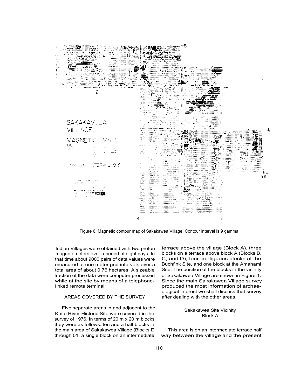

Figure 6. Magnetic contour map of Sakakawea Village. Contour interval is 9 gamma.

Indian Villages were obtained with two proton magnetometers over a period of eight days. In that time about 9000 pairs of data values were measured at one meter grid intervals over a total area of about 0.76 hectares. A sizeable fraction of the data were computer processed while at the site by means of a telephoneli nked remote terminal.

# AREAS COVERED BY THE SURVEY

Five separate areas in and adjacent to the Knife River Historic Site were covered in the survey of 1976. In terms of 20 m x 20 m blocks they were as follows: ten and a half blocks in the main area of Sakakawea Village (Blocks E through 01, a single block on an intermediate

terrace above the village (Block A), three blocks on a terrace above block A (Blocks B, C, and D), four contiguous blocks at the Buchfink Site, and one block at the Amahami Site. The position of the blocks in the vicinity of Sakakawea Village are shown in Figure 1. Since the main Sakakawea Village survey produced the most information of archaeological interest we shall discuss that survey after dealing with the other areas.

## Sakakawea Site Vicinity Block A

This area is on an intermediate terrace half way between the village and the present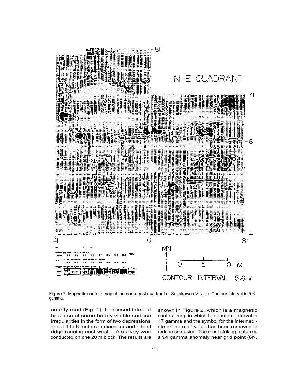

Figure 7. Magnetic contour map of the north-east quadrant of Sakakawea Village. Contour interval is 5.6 gamma.

county road (Fig. 1). It aroused interest because of some barely visible surface irregularities in the form of two depressions about 4 to 6 meters in diameter and a faint ridge running east-west. A survey was conducted on one 20 m block. The results are

shown in Figure 2, which is a magnetic contour map in which the contour interval is 17 gamma and the symbol for the intermediate or "normal" value has been removed to reduce confusion. The most striking feature is a 94 gamma anomaly near grid point (6N,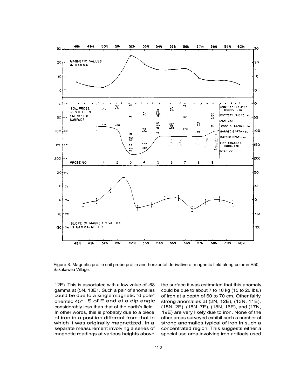

Figure 8. Magnetic profile soil probe profile and horizontal derivative of magnetic field along column E50, Sakakawea Village.

12E). This is associated with a low value of -68 gamma at (5N, 13E1. Such a pair of anomalies could be due to a single magnetic "dipole" oriented 45° S of E and at a dip angle considerably less than that of the earth's field. In other words, this is probably due to a piece of iron in a position different from that in which it was originally magnetized. In a separate measurement involving a series of magnetic readings at various heights above

the surface it was estimated that this anomaly could be due to about 7 to 10 kg (15 to 20 lbs.) of iron at a depth of 60 to 70 cm. Other fairly strong anomalies at (2N, 12E), (13N, 11E), (15N, 2E), (18N, 7E), (18N, 16E), and (17N, 19E) are very likely due to iron. None of the other areas surveyed exhibit such a number of strong anomalies typical of iron in such a concentrated region. This suggests either a special use area involving iron artifacts used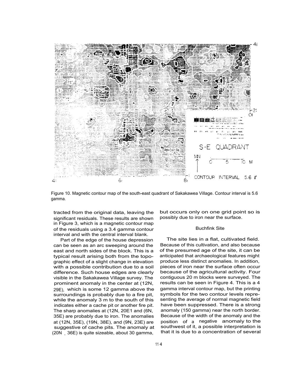

Figure 10. Magnetic contour map of the south-east quadrant of Sakakawea Village. Contour interval is 5.6 gamma.

tracted from the original data, leaving the significant residuals. These results are shown in Figure 3, which is a magnetic contour map of the residuals using a 3.4 gamma contour interval and with the central interval blank.

Part of the edge of the house depression can be seen as an arc sweeping around the east and north sides of the block. This is a typical result arising both from the topographic effect of a slight change in elevation with a possible contribution due to a soil difference. Such house edges are clearly visible in the Sakakawea Village survey. The prominent anomaly in the center at (12N, 29E), which is some 12 gamma above the surroundings is probably due to a fire pit, while the anomaly 3 m to the south of this indicates either a cache pit or another fire pit. The sharp anomalies at (12N, 20E1 and (6N, 35E) are probably due to iron. The anomalies at (12N, 35E), (19N, 38E), and (9N, 23E) are suggestive of cache pits. The anomaly at (20N , 36E) is quite sizeable, about 30 gamma,

but occurs only on one grid point so is possibly due to iron near the surface.

### Buchfink Site

The site lies in a flat, cultivated field. Because of this cultivation, and also because of the presumed age of the site, it can be anticipated that archaeological features might produce less distinct anomalies. In addition, pieces of iron near the surface often occur because of the agricultural activity. Four contiguous 20 m blocks were surveyed. The results can be seen in Figure 4. This is a 4 gamma interval contour map, but the printing symbols for the two contour levels representing the average of normal magnetic field have been suppressed. There is a strong anomaly (150 gamma) near the north border. Because of the width of the anomaly and the position of <sup>a</sup> negative anomaly to the southwest of it, a possible interpretation is that it is due to a concentration of several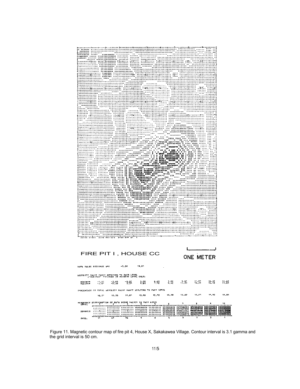

Figure 11. Magnetic contour map of fire pit 4, House X, Sakakawea Village. Contour interval is 3.1 gamma and the grid interval is 50 cm.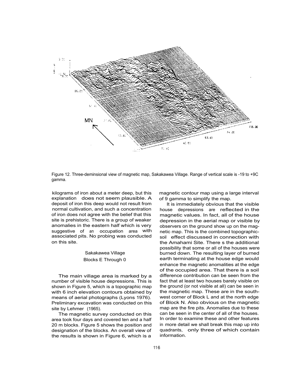

Figure 12. Three-deminsional view of magnetic map, Sakakawea Village. Range of vertical scale is -19 to +9C gamma.

kilograms of iron about a meter deep, but this explanation does not seem plausible. A deposit of iron this deep would not result from normal cultivation, and such a concentration of iron does not agree with the belief that this site is prehistoric. There is a group of weaker anomalies in the eastern half which is very suggestive of an occupation area with associated pits. No probing was conducted on this site.

# Sakakawea Village Blocks E Through 0

The main village area is marked by a number of visible house depressions. This is shown in Figure 5, which is a topographic map with 6 inch elevation contours obtained by means of aerial photographs (Lyons 1976). Preliminary excavation was conducted on this site by Lehmer (1965).

The magnetic survey conducted on this area took four days and covered ten and a half 20 m blocks. Figure 5 shows the position and designation of the blocks. An overall view of the results is shown in Figure 6, which is a

magnetic contour map using a large interval of 9 gamma to simplify the map.

It is immediately obvious that the visible house depressions are reflected in the magnetic values. In fact, all of the house depression in the aerial map or visible by observers on the ground show up on the magnetic map. This is the combined topographicsoil effect discussed in connection with the Amahami Site. There s the additional possibility that some or all of the houses were burned down. The resulting layer of burned earth terminating at the house edge would enhance the magnetic anomalities at the edge of the occupied area. That there is a soil difference contribution can be seen from the fact that at least two houses barely visible on the ground (or not visible at all) can be seen in the magnetic map. These are in the southwest corner of Block L and at the north edge of Block N. Also obvious on the magnetic map are the fire pits. Anomalies due to these can be seen in the center of all of the houses. In order to examine these and other features in more detail we shall break this map up into quadrants, only three of which contain information.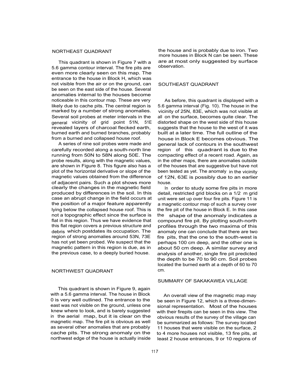### NORTHEAST QUADRANT

This quadrant is shown in Figure 7 with a 5.6 gamma contour interval. The fire pits are even more clearly seen on this map. The entrance to the house in Block H, which was not visible from the air or on the ground, can be seen on the east side of the house. Several anomalies internal to the houses become noticeable in this contour map. These are very likely due to cache pits. The central region is marked by a number of strong anomalies. Several soil probes at meter intervals in the general vicinity of grid point 51N, 51E revealed layers of charcoal flecked earth, burned earth and burned branches, probably from a burned and collapsed house roof.

A series of nine soil probes were made and carefully recorded along a south-north line running from 50N to 58N along 50E. The probe results, along with the magnetic values, are shown in Figure 8. This figure also has a plot of the horizontal derivative or slope of the magnetic values obtained from the difference of adjacent pairs. Such a plot shows more clearly the changes in the magnetic field produced by differences in the soil. In this case an abrupt change in the field occurs at the position of a major feature apparently lying below the collapsed house roof. This is not a topographic effect since the surface is flat in this region. Thus we have evidence that this flat region covers a previous structure and debris which postdates its occupation. The region of strong anomalies around 53N, 73E has not yet been probed. We suspect that the magnetic pattern in this region is due, as in the previous case, to a deeply buried house.

# NORTHWEST QUADRANT CM.

This quadrant is shown in Figure 9, again with a 5.6 gamma interval. The house in Block 0 is very well outlined. The entrance to the east was not visible on the ground, unless one knew where to look, and is barely suggested in the aerial map, but it is clear on the magnetic map. The fire pit is obvious as well as several other anomalies that are probably cache pits. The strong anomaly on the northwest edge of the house is actually inside the house and is probably due to iron. Two more houses in Block N can be seen. These are at most only suggested by surface observation.

### SOUTHEAST QUADRANT

As before, this quadrant is displayed with a 5.6 gamma interval (Fig. 10). The house in the vicinity of 25N, 83E, which was not visible at all on the surface, becomes quite clear. The distorted shape on the west side of this house suggests that the house to the west of it was built at a later time. The full outline of the house in Block E becomes obvious. The general lack of contours in the southwest region of this quadrant is due to the compacting effect of a recent road. Again, as in the other maps, there are anomalies outside of the houses that are suggestive but have not been tested as yet. The anomaly in the vicinity of 12N, 63E is possibly due to an earlier house.

In order to study some fire pits in more detail, restricted grid blocks on a 1/2 m grid unit were set up over four fire pits. Figure 11 is a magnetic contour map of such a survey over the fire pit of the house in Block E. In this case the shape of the anomaly indicates a compound fire pit. By plotting south-north profiles through the two maxima of this anomaly one can conclude that there are two fire pits, that the one to the south-west is perhaps 100 cm deep, and the other one is about 50 cm deep. A similar survey and analysis of another, single fire pit predicted the depth to be 70 to 90 cm. Soil probes located the burned earth at a depth of 60 to 70

## SUMMARY OF SAKAKAWEA VILLAGE

An overall view of the magnetic map may be seen in Figure 12, which is a three-dimensional representation. Most of the houses with their firepits can be seen in this view. The obvious results of the survey of the village can be summarized as follows: The survey located 11 houses that were visible on the surface, 2 to 4 more houses not visible, 13 fire pits, at least 2 house entrances, 9 or 10 regions of